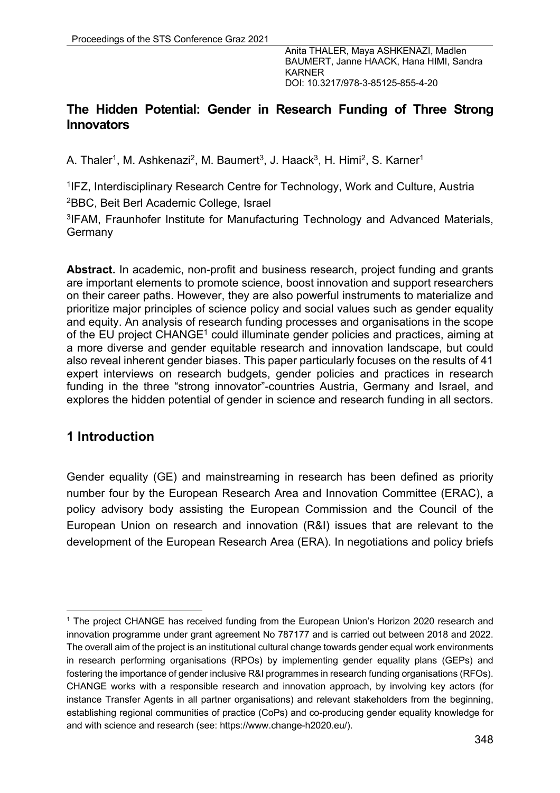## **The Hidden Potential: Gender in Research Funding of Three Strong Innovators**

A. Thaler<sup>1</sup>, M. Ashkenazi<sup>2</sup>, M. Baumert<sup>3</sup>, J. Haack<sup>3</sup>, H. Himi<sup>2</sup>, S. Karner<sup>1</sup>

1IFZ, Interdisciplinary Research Centre for Technology, Work and Culture, Austria 2BBC, Beit Berl Academic College, Israel

3IFAM, Fraunhofer Institute for Manufacturing Technology and Advanced Materials, **Germany** 

**Abstract.** In academic, non-profit and business research, project funding and grants are important elements to promote science, boost innovation and support researchers on their career paths. However, they are also powerful instruments to materialize and prioritize major principles of science policy and social values such as gender equality and equity. An analysis of research funding processes and organisations in the scope of the EU project CHANGE<sup>1</sup> could illuminate gender policies and practices, aiming at a more diverse and gender equitable research and innovation landscape, but could also reveal inherent gender biases. This paper particularly focuses on the results of 41 expert interviews on research budgets, gender policies and practices in research funding in the three "strong innovator"-countries Austria, Germany and Israel, and explores the hidden potential of gender in science and research funding in all sectors.

## **1 Introduction**

Gender equality (GE) and mainstreaming in research has been defined as priority number four by the European Research Area and Innovation Committee (ERAC), a policy advisory body assisting the European Commission and the Council of the European Union on research and innovation (R&I) issues that are relevant to the development of the European Research Area (ERA). In negotiations and policy briefs

<sup>&</sup>lt;sup>1</sup> The project CHANGE has received funding from the European Union's Horizon 2020 research and innovation programme under grant agreement No 787177 and is carried out between 2018 and 2022. The overall aim of the project is an institutional cultural change towards gender equal work environments in research performing organisations (RPOs) by implementing gender equality plans (GEPs) and fostering the importance of gender inclusive R&I programmes in research funding organisations (RFOs). CHANGE works with a responsible research and innovation approach, by involving key actors (for instance Transfer Agents in all partner organisations) and relevant stakeholders from the beginning, establishing regional communities of practice (CoPs) and co-producing gender equality knowledge for and with science and research (see: https://www.change-h2020.eu/).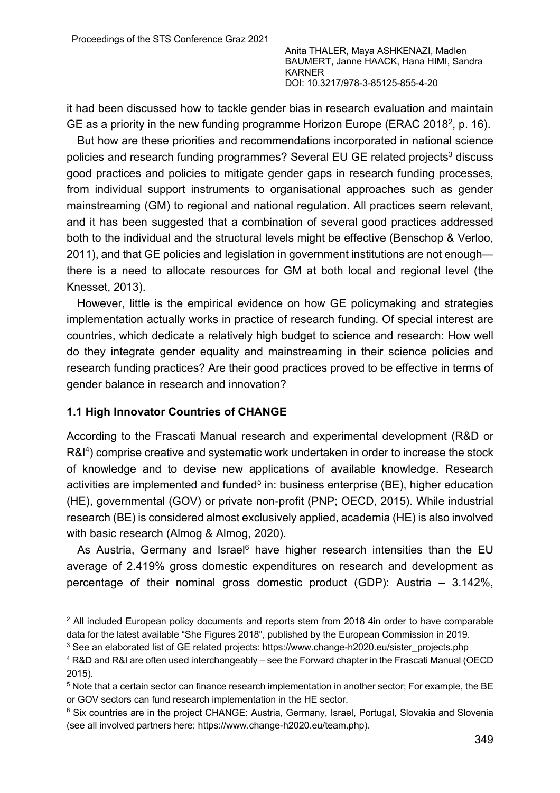it had been discussed how to tackle gender bias in research evaluation and maintain GE as a priority in the new funding programme Horizon Europe (ERAC 2018<sup>2</sup>, p. 16).

But how are these priorities and recommendations incorporated in national science policies and research funding programmes? Several EU GE related projects<sup>3</sup> discuss good practices and policies to mitigate gender gaps in research funding processes, from individual support instruments to organisational approaches such as gender mainstreaming (GM) to regional and national regulation. All practices seem relevant, and it has been suggested that a combination of several good practices addressed both to the individual and the structural levels might be effective (Benschop & Verloo, 2011), and that GE policies and legislation in government institutions are not enough there is a need to allocate resources for GM at both local and regional level (the Knesset, 2013).

However, little is the empirical evidence on how GE policymaking and strategies implementation actually works in practice of research funding. Of special interest are countries, which dedicate a relatively high budget to science and research: How well do they integrate gender equality and mainstreaming in their science policies and research funding practices? Are their good practices proved to be effective in terms of gender balance in research and innovation?

### **1.1 High Innovator Countries of CHANGE**

According to the Frascati Manual research and experimental development (R&D or R&I<sup>4</sup>) comprise creative and systematic work undertaken in order to increase the stock of knowledge and to devise new applications of available knowledge. Research activities are implemented and funded<sup>5</sup> in: business enterprise (BE), higher education (HE), governmental (GOV) or private non-profit (PNP; OECD, 2015). While industrial research (BE) is considered almost exclusively applied, academia (HE) is also involved with basic research (Almog & Almog, 2020).

As Austria, Germany and Israel<sup>6</sup> have higher research intensities than the EU average of 2.419% gross domestic expenditures on research and development as percentage of their nominal gross domestic product (GDP): Austria – 3.142%,

<sup>&</sup>lt;sup>2</sup> All included European policy documents and reports stem from 2018 4in order to have comparable data for the latest available "She Figures 2018", published by the European Commission in 2019.

<sup>&</sup>lt;sup>3</sup> See an elaborated list of GE related projects: https://www.change-h2020.eu/sister\_projects.php

<sup>4</sup> R&D and R&I are often used interchangeably – see the Forward chapter in the Frascati Manual (OECD 2015).

<sup>5</sup> Note that a certain sector can finance research implementation in another sector; For example, the BE or GOV sectors can fund research implementation in the HE sector.

<sup>&</sup>lt;sup>6</sup> Six countries are in the project CHANGE: Austria, Germany, Israel, Portugal, Slovakia and Slovenia (see all involved partners here: https://www.change-h2020.eu/team.php).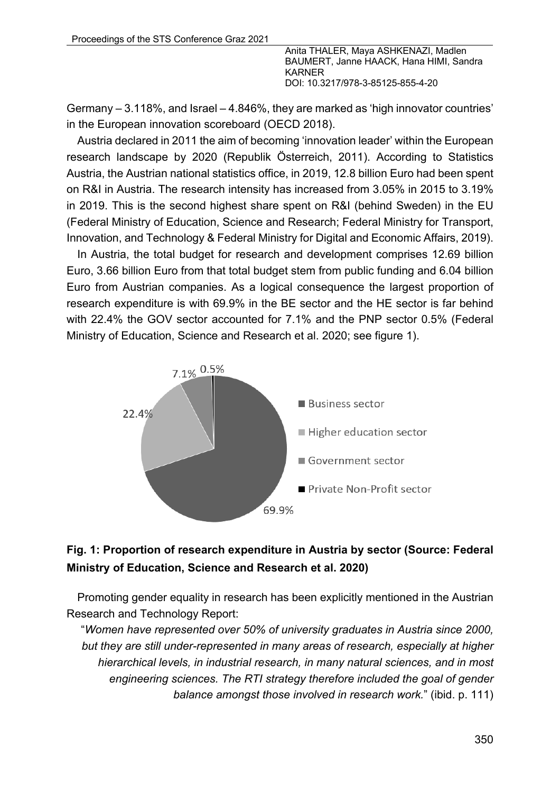Germany – 3.118%, and Israel – 4.846%, they are marked as 'high innovator countries' in the European innovation scoreboard (OECD 2018).

Austria declared in 2011 the aim of becoming 'innovation leader' within the European research landscape by 2020 (Republik Österreich, 2011). According to Statistics Austria, the Austrian national statistics office, in 2019, 12.8 billion Euro had been spent on R&I in Austria. The research intensity has increased from 3.05% in 2015 to 3.19% in 2019. This is the second highest share spent on R&I (behind Sweden) in the EU (Federal Ministry of Education, Science and Research; Federal Ministry for Transport, Innovation, and Technology & Federal Ministry for Digital and Economic Affairs, 2019).

In Austria, the total budget for research and development comprises 12.69 billion Euro, 3.66 billion Euro from that total budget stem from public funding and 6.04 billion Euro from Austrian companies. As a logical consequence the largest proportion of research expenditure is with 69.9% in the BE sector and the HE sector is far behind with 22.4% the GOV sector accounted for 7.1% and the PNP sector 0.5% (Federal Ministry of Education, Science and Research et al. 2020; see figure 1).



# **Fig. 1: Proportion of research expenditure in Austria by sector (Source: Federal Ministry of Education, Science and Research et al. 2020)**

Promoting gender equality in research has been explicitly mentioned in the Austrian Research and Technology Report:

"*Women have represented over 50% of university graduates in Austria since 2000, but they are still under-represented in many areas of research, especially at higher hierarchical levels, in industrial research, in many natural sciences, and in most engineering sciences. The RTI strategy therefore included the goal of gender balance amongst those involved in research work.*" (ibid. p. 111)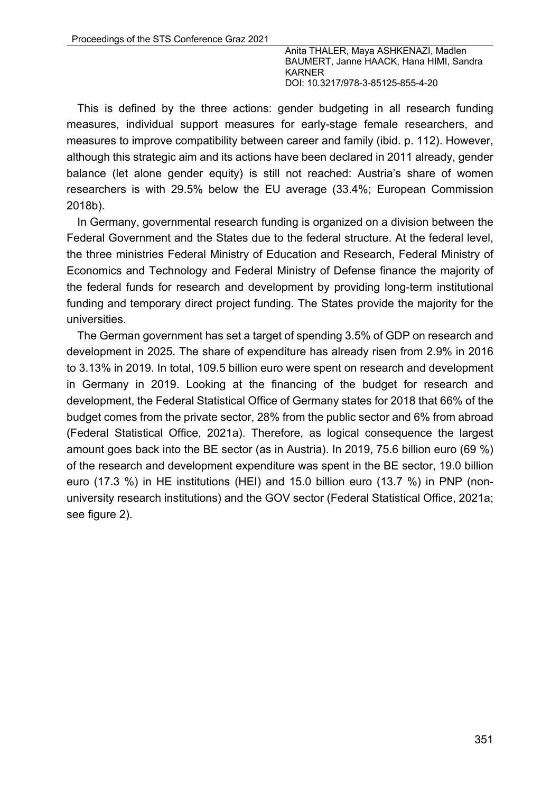This is defined by the three actions: gender budgeting in all research funding measures, individual support measures for early-stage female researchers, and measures to improve compatibility between career and family (ibid. p. 112). However, although this strategic aim and its actions have been declared in 2011 already, gender balance (let alone gender equity) is still not reached: Austria's share of women researchers is with 29.5% below the EU average (33.4%; European Commission 2018b).

In Germany, governmental research funding is organized on a division between the Federal Government and the States due to the federal structure. At the federal level, the three ministries Federal Ministry of Education and Research, Federal Ministry of Economics and Technology and Federal Ministry of Defense finance the majority of the federal funds for research and development by providing long-term institutional funding and temporary direct project funding. The States provide the majority for the universities.

The German government has set a target of spending 3.5% of GDP on research and development in 2025. The share of expenditure has already risen from 2.9% in 2016 to 3.13% in 2019. In total, 109.5 billion euro were spent on research and development in Germany in 2019. Looking at the financing of the budget for research and development, the Federal Statistical Office of Germany states for 2018 that 66% of the budget comes from the private sector, 28% from the public sector and 6% from abroad (Federal Statistical Office, 2021a). Therefore, as logical consequence the largest amount goes back into the BE sector (as in Austria). In 2019, 75.6 billion euro (69 %) of the research and development expenditure was spent in the BE sector, 19.0 billion euro (17.3 %) in HE institutions (HEI) and 15.0 billion euro (13.7 %) in PNP (nonuniversity research institutions) and the GOV sector (Federal Statistical Office, 2021a; see figure 2).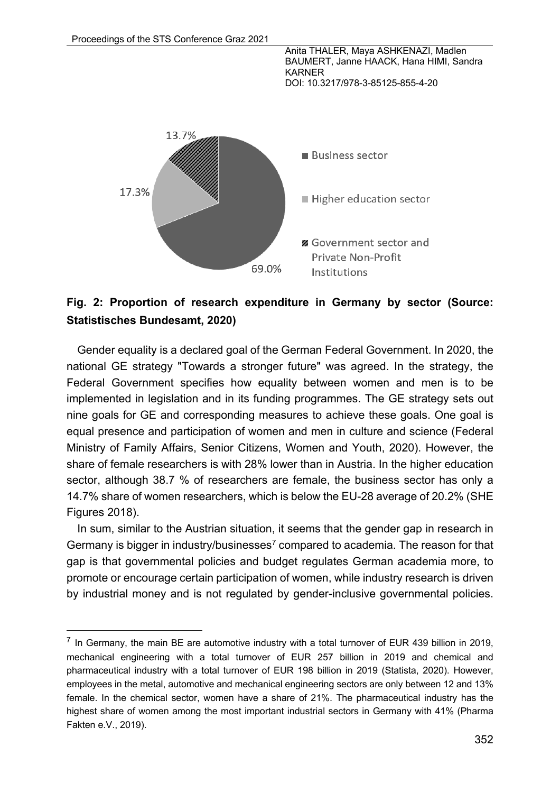Anita THALER, Maya ASHKENAZI, Madlen BAUMERT, Janne HAACK, Hana HIMI, Sandra KARNER





## **Fig. 2: Proportion of research expenditure in Germany by sector (Source: Statistisches Bundesamt, 2020)**

Gender equality is a declared goal of the German Federal Government. In 2020, the national GE strategy "Towards a stronger future" was agreed. In the strategy, the Federal Government specifies how equality between women and men is to be implemented in legislation and in its funding programmes. The GE strategy sets out nine goals for GE and corresponding measures to achieve these goals. One goal is equal presence and participation of women and men in culture and science (Federal Ministry of Family Affairs, Senior Citizens, Women and Youth, 2020). However, the share of female researchers is with 28% lower than in Austria. In the higher education sector, although 38.7 % of researchers are female, the business sector has only a 14.7% share of women researchers, which is below the EU-28 average of 20.2% (SHE Figures 2018).

In sum, similar to the Austrian situation, it seems that the gender gap in research in Germany is bigger in industry/businesses<sup>7</sup> compared to academia. The reason for that gap is that governmental policies and budget regulates German academia more, to promote or encourage certain participation of women, while industry research is driven by industrial money and is not regulated by gender-inclusive governmental policies.

 $<sup>7</sup>$  In Germany, the main BE are automotive industry with a total turnover of EUR 439 billion in 2019,</sup> mechanical engineering with a total turnover of EUR 257 billion in 2019 and chemical and pharmaceutical industry with a total turnover of EUR 198 billion in 2019 (Statista, 2020). However, employees in the metal, automotive and mechanical engineering sectors are only between 12 and 13% female. In the chemical sector, women have a share of 21%. The pharmaceutical industry has the highest share of women among the most important industrial sectors in Germany with 41% (Pharma Fakten e.V., 2019).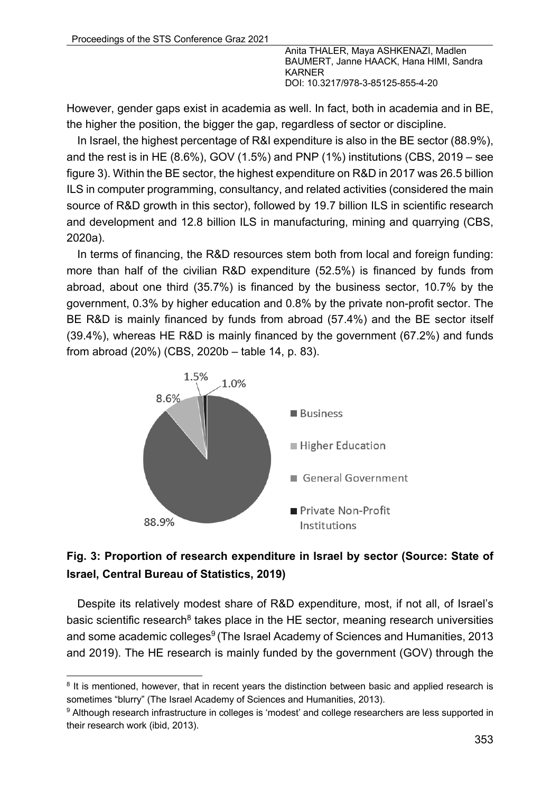However, gender gaps exist in academia as well. In fact, both in academia and in BE, the higher the position, the bigger the gap, regardless of sector or discipline.

In Israel, the highest percentage of R&I expenditure is also in the BE sector (88.9%), and the rest is in HE (8.6%), GOV (1.5%) and PNP (1%) institutions (CBS, 2019 – see figure 3). Within the BE sector, the highest expenditure on R&D in 2017 was 26.5 billion ILS in computer programming, consultancy, and related activities (considered the main source of R&D growth in this sector), followed by 19.7 billion ILS in scientific research and development and 12.8 billion ILS in manufacturing, mining and quarrying (CBS, 2020a).

In terms of financing, the R&D resources stem both from local and foreign funding: more than half of the civilian R&D expenditure (52.5%) is financed by funds from abroad, about one third (35.7%) is financed by the business sector, 10.7% by the government, 0.3% by higher education and 0.8% by the private non-profit sector. The BE R&D is mainly financed by funds from abroad (57.4%) and the BE sector itself (39.4%), whereas HE R&D is mainly financed by the government (67.2%) and funds from abroad (20%) (CBS, 2020b – table 14, p. 83).



# **Fig. 3: Proportion of research expenditure in Israel by sector (Source: State of Israel, Central Bureau of Statistics, 2019)**

Despite its relatively modest share of R&D expenditure, most, if not all, of Israel's basic scientific research $8$  takes place in the HE sector, meaning research universities and some academic colleges<sup>9</sup> (The Israel Academy of Sciences and Humanities, 2013 and 2019). The HE research is mainly funded by the government (GOV) through the

<sup>&</sup>lt;sup>8</sup> It is mentioned, however, that in recent years the distinction between basic and applied research is sometimes "blurry" (The Israel Academy of Sciences and Humanities, 2013).

<sup>9</sup> Although research infrastructure in colleges is 'modest' and college researchers are less supported in their research work (ibid, 2013).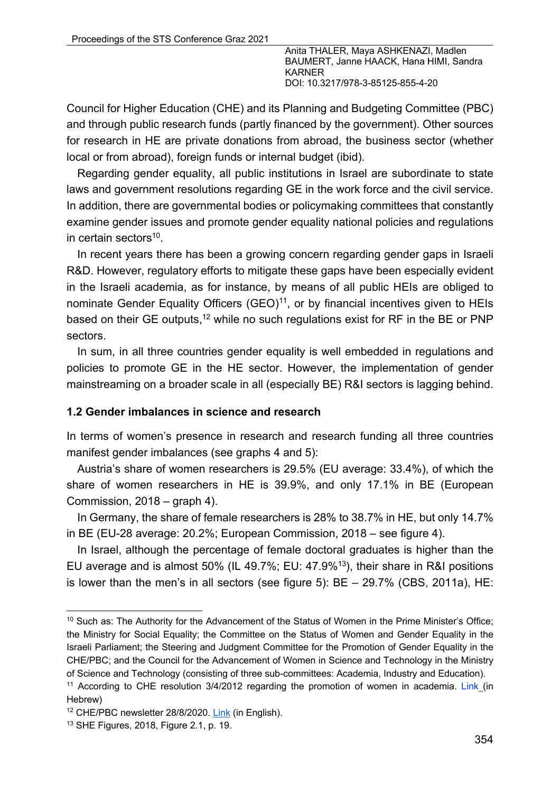Council for Higher Education (CHE) and its Planning and Budgeting Committee (PBC) and through public research funds (partly financed by the government). Other sources for research in HE are private donations from abroad, the business sector (whether local or from abroad), foreign funds or internal budget (ibid).

Regarding gender equality, all public institutions in Israel are subordinate to state laws and government resolutions regarding GE in the work force and the civil service. In addition, there are governmental bodies or policymaking committees that constantly examine gender issues and promote gender equality national policies and regulations in certain sectors $10$ .

In recent years there has been a growing concern regarding gender gaps in Israeli R&D. However, regulatory efforts to mitigate these gaps have been especially evident in the Israeli academia, as for instance, by means of all public HEIs are obliged to nominate Gender Equality Officers  $(GEO)^{11}$ , or by financial incentives given to HEIs based on their GE outputs,<sup>12</sup> while no such regulations exist for RF in the BE or PNP sectors.

In sum, in all three countries gender equality is well embedded in regulations and policies to promote GE in the HE sector. However, the implementation of gender mainstreaming on a broader scale in all (especially BE) R&I sectors is lagging behind.

#### **1.2 Gender imbalances in science and research**

In terms of women's presence in research and research funding all three countries manifest gender imbalances (see graphs 4 and 5):

Austria's share of women researchers is 29.5% (EU average: 33.4%), of which the share of women researchers in HE is 39.9%, and only 17.1% in BE (European Commission, 2018 – graph 4).

In Germany, the share of female researchers is 28% to 38.7% in HE, but only 14.7% in BE (EU-28 average: 20.2%; European Commission, 2018 – see figure 4).

In Israel, although the percentage of female doctoral graduates is higher than the EU average and is almost 50% (IL 49.7%; EU: 47.9%13), their share in R&I positions is lower than the men's in all sectors (see figure 5): BE – 29.7% (CBS, 2011a), HE:

<sup>&</sup>lt;sup>10</sup> Such as: The Authority for the Advancement of the Status of Women in the Prime Minister's Office; the Ministry for Social Equality; the Committee on the Status of Women and Gender Equality in the Israeli Parliament; the Steering and Judgment Committee for the Promotion of Gender Equality in the CHE/PBC; and the Council for the Advancement of Women in Science and Technology in the Ministry of Science and Technology (consisting of three sub-committees: Academia, Industry and Education).

<sup>&</sup>lt;sup>11</sup> According to CHE resolution 3/4/2012 regarding the promotion of women in academia. Link (in Hebrew)

<sup>12</sup> CHE/PBC newsletter 28/8/2020. Link (in English).

<sup>13</sup> SHE Figures, 2018, Figure 2.1, p. 19.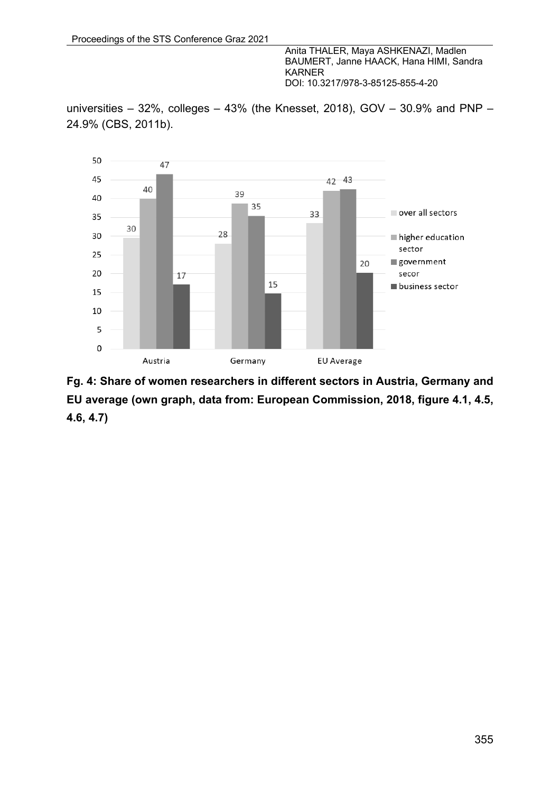universities – 32%, colleges – 43% (the Knesset, 2018), GOV – 30.9% and PNP – 24.9% (CBS, 2011b).



**Fg. 4: Share of women researchers in different sectors in Austria, Germany and EU average (own graph, data from: European Commission, 2018, figure 4.1, 4.5, 4.6, 4.7)**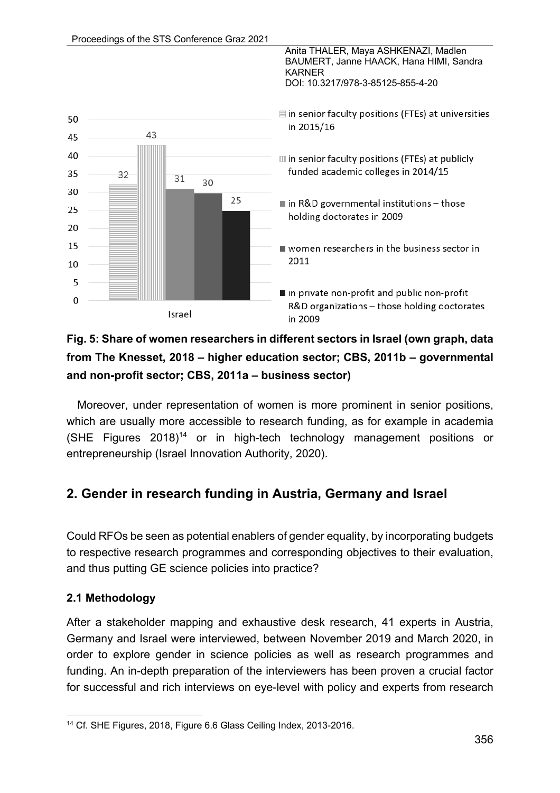

# **Fig. 5: Share of women researchers in different sectors in Israel (own graph, data from The Knesset, 2018 – higher education sector; CBS, 2011b – governmental and non-profit sector; CBS, 2011a – business sector)**

Moreover, under representation of women is more prominent in senior positions, which are usually more accessible to research funding, as for example in academia (SHE Figures  $2018$ )<sup>14</sup> or in high-tech technology management positions or entrepreneurship (Israel Innovation Authority, 2020).

# **2. Gender in research funding in Austria, Germany and Israel**

Could RFOs be seen as potential enablers of gender equality, by incorporating budgets to respective research programmes and corresponding objectives to their evaluation, and thus putting GE science policies into practice?

## **2.1 Methodology**

After a stakeholder mapping and exhaustive desk research, 41 experts in Austria, Germany and Israel were interviewed, between November 2019 and March 2020, in order to explore gender in science policies as well as research programmes and funding. An in-depth preparation of the interviewers has been proven a crucial factor for successful and rich interviews on eye-level with policy and experts from research

<sup>14</sup> Cf. SHE Figures, 2018, Figure 6.6 Glass Ceiling Index, 2013-2016.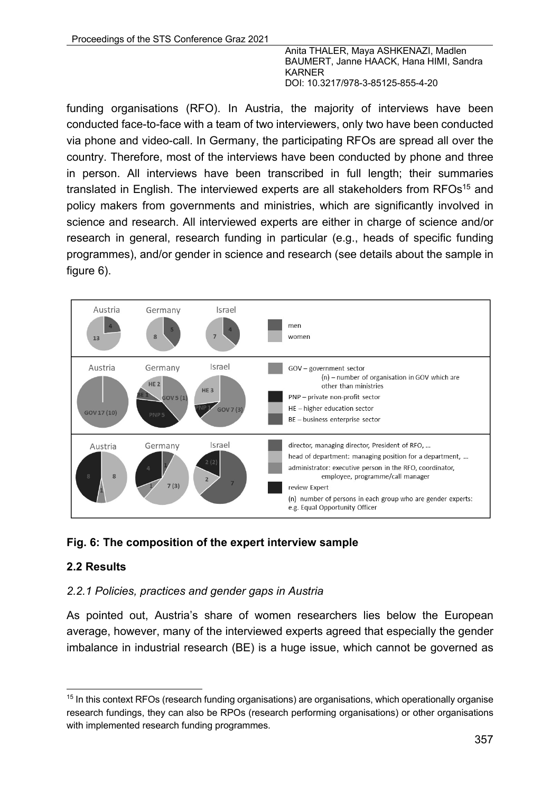funding organisations (RFO). In Austria, the majority of interviews have been conducted face-to-face with a team of two interviewers, only two have been conducted via phone and video-call. In Germany, the participating RFOs are spread all over the country. Therefore, most of the interviews have been conducted by phone and three in person. All interviews have been transcribed in full length; their summaries translated in English. The interviewed experts are all stakeholders from RFOs<sup>15</sup> and policy makers from governments and ministries, which are significantly involved in science and research. All interviewed experts are either in charge of science and/or research in general, research funding in particular (e.g., heads of specific funding programmes), and/or gender in science and research (see details about the sample in figure 6).



## **Fig. 6: The composition of the expert interview sample**

### **2.2 Results**

#### *2.2.1 Policies, practices and gender gaps in Austria*

As pointed out, Austria's share of women researchers lies below the European average, however, many of the interviewed experts agreed that especially the gender imbalance in industrial research (BE) is a huge issue, which cannot be governed as

<sup>&</sup>lt;sup>15</sup> In this context RFOs (research funding organisations) are organisations, which operationally organise research fundings, they can also be RPOs (research performing organisations) or other organisations with implemented research funding programmes.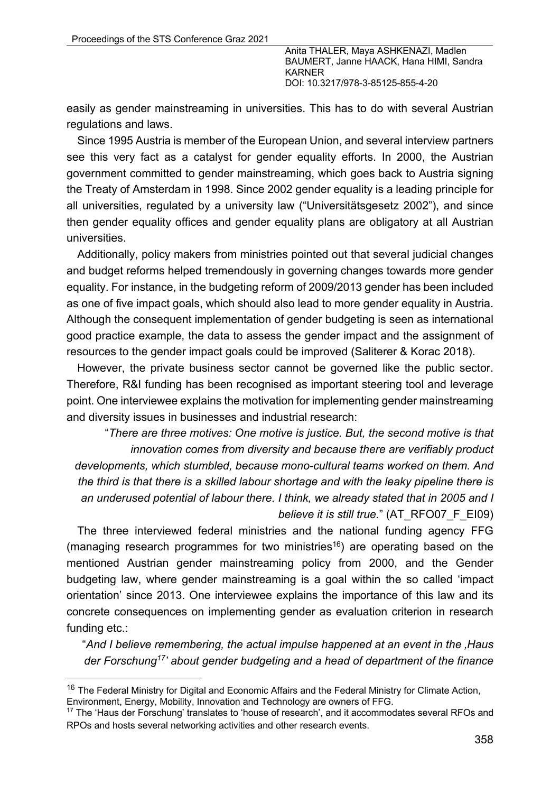easily as gender mainstreaming in universities. This has to do with several Austrian regulations and laws.

Since 1995 Austria is member of the European Union, and several interview partners see this very fact as a catalyst for gender equality efforts. In 2000, the Austrian government committed to gender mainstreaming, which goes back to Austria signing the Treaty of Amsterdam in 1998. Since 2002 gender equality is a leading principle for all universities, regulated by a university law ("Universitätsgesetz 2002"), and since then gender equality offices and gender equality plans are obligatory at all Austrian universities.

Additionally, policy makers from ministries pointed out that several judicial changes and budget reforms helped tremendously in governing changes towards more gender equality. For instance, in the budgeting reform of 2009/2013 gender has been included as one of five impact goals, which should also lead to more gender equality in Austria. Although the consequent implementation of gender budgeting is seen as international good practice example, the data to assess the gender impact and the assignment of resources to the gender impact goals could be improved (Saliterer & Korac 2018).

However, the private business sector cannot be governed like the public sector. Therefore, R&I funding has been recognised as important steering tool and leverage point. One interviewee explains the motivation for implementing gender mainstreaming and diversity issues in businesses and industrial research:

"*There are three motives: One motive is justice. But, the second motive is that innovation comes from diversity and because there are verifiably product developments, which stumbled, because mono-cultural teams worked on them. And the third is that there is a skilled labour shortage and with the leaky pipeline there is an underused potential of labour there. I think, we already stated that in 2005 and I believe it is still true.*" (AT\_RFO07\_F\_EI09)

The three interviewed federal ministries and the national funding agency FFG (managing research programmes for two ministries<sup>16</sup>) are operating based on the mentioned Austrian gender mainstreaming policy from 2000, and the Gender budgeting law, where gender mainstreaming is a goal within the so called 'impact orientation' since 2013. One interviewee explains the importance of this law and its concrete consequences on implementing gender as evaluation criterion in research funding etc.:

"*And I believe remembering, the actual impulse happened at an event in the 'Haus der Forschung17' about gender budgeting and a head of department of the finance* 

<sup>&</sup>lt;sup>16</sup> The Federal Ministry for Digital and Economic Affairs and the Federal Ministry for Climate Action, Environment, Energy, Mobility, Innovation and Technology are owners of FFG.

<sup>&</sup>lt;sup>17</sup> The 'Haus der Forschung' translates to 'house of research', and it accommodates several RFOs and RPOs and hosts several networking activities and other research events.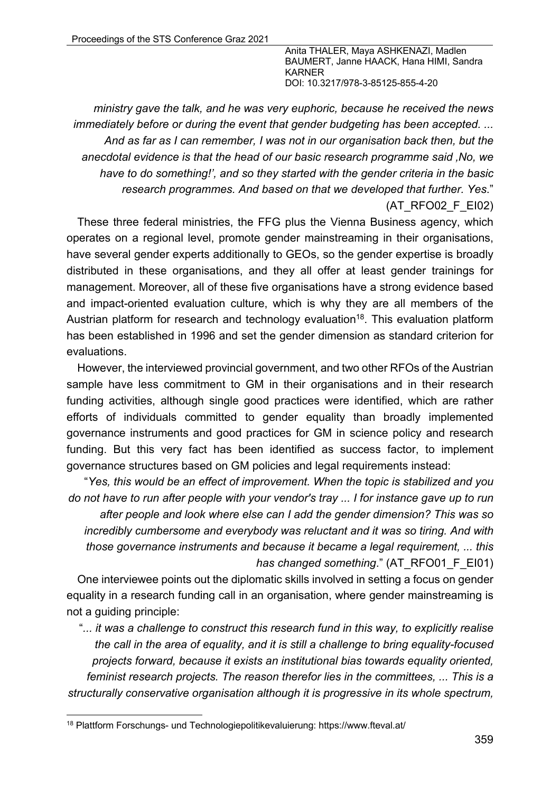*ministry gave the talk, and he was very euphoric, because he received the news immediately before or during the event that gender budgeting has been accepted. ... And as far as I can remember, I was not in our organisation back then, but the anecdotal evidence is that the head of our basic research programme said 'No, we have to do something!', and so they started with the gender criteria in the basic research programmes. And based on that we developed that further. Yes*." (AT\_RFO02\_F\_EI02)

These three federal ministries, the FFG plus the Vienna Business agency, which operates on a regional level, promote gender mainstreaming in their organisations, have several gender experts additionally to GEOs, so the gender expertise is broadly distributed in these organisations, and they all offer at least gender trainings for management. Moreover, all of these five organisations have a strong evidence based and impact-oriented evaluation culture, which is why they are all members of the Austrian platform for research and technology evaluation<sup>18</sup>. This evaluation platform has been established in 1996 and set the gender dimension as standard criterion for evaluations.

However, the interviewed provincial government, and two other RFOs of the Austrian sample have less commitment to GM in their organisations and in their research funding activities, although single good practices were identified, which are rather efforts of individuals committed to gender equality than broadly implemented governance instruments and good practices for GM in science policy and research funding. But this very fact has been identified as success factor, to implement governance structures based on GM policies and legal requirements instead:

"*Yes, this would be an effect of improvement. When the topic is stabilized and you do not have to run after people with your vendor's tray ... I for instance gave up to run* 

*after people and look where else can I add the gender dimension? This was so incredibly cumbersome and everybody was reluctant and it was so tiring. And with those governance instruments and because it became a legal requirement, ... this has changed something.*" (AT\_RFO01\_F\_EI01)

One interviewee points out the diplomatic skills involved in setting a focus on gender equality in a research funding call in an organisation, where gender mainstreaming is not a guiding principle:

"*... it was a challenge to construct this research fund in this way, to explicitly realise the call in the area of equality, and it is still a challenge to bring equality-focused projects forward, because it exists an institutional bias towards equality oriented, feminist research projects. The reason therefor lies in the committees, ... This is a structurally conservative organisation although it is progressive in its whole spectrum,* 

<sup>18</sup> Plattform Forschungs- und Technologiepolitikevaluierung: https://www.fteval.at/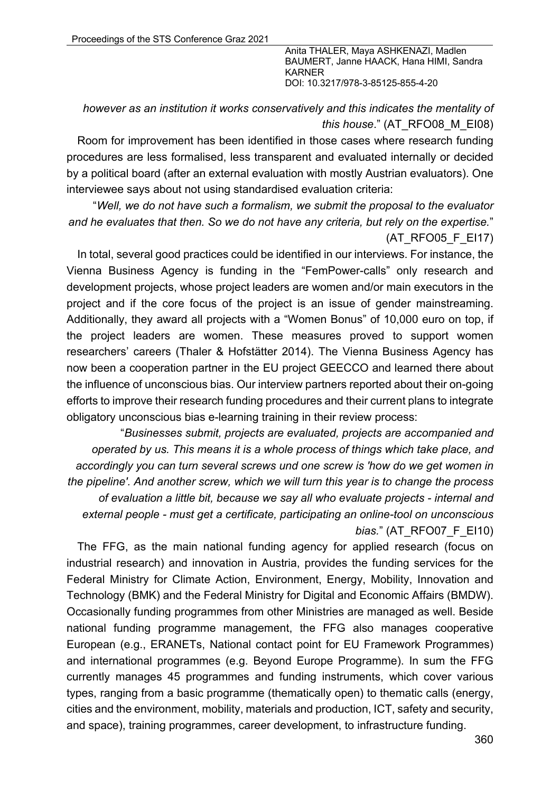### *however as an institution it works conservatively and this indicates the mentality of this house*." (AT\_RFO08\_M\_EI08)

Room for improvement has been identified in those cases where research funding procedures are less formalised, less transparent and evaluated internally or decided by a political board (after an external evaluation with mostly Austrian evaluators). One interviewee says about not using standardised evaluation criteria:

"*Well, we do not have such a formalism, we submit the proposal to the evaluator and he evaluates that then. So we do not have any criteria, but rely on the expertise.*" (AT\_RFO05\_F\_EI17)

In total, several good practices could be identified in our interviews. For instance, the Vienna Business Agency is funding in the "FemPower-calls" only research and development projects, whose project leaders are women and/or main executors in the project and if the core focus of the project is an issue of gender mainstreaming. Additionally, they award all projects with a "Women Bonus" of 10,000 euro on top, if the project leaders are women. These measures proved to support women researchers' careers (Thaler & Hofstätter 2014). The Vienna Business Agency has now been a cooperation partner in the EU project GEECCO and learned there about the influence of unconscious bias. Our interview partners reported about their on-going efforts to improve their research funding procedures and their current plans to integrate obligatory unconscious bias e-learning training in their review process:

"*Businesses submit, projects are evaluated, projects are accompanied and operated by us. This means it is a whole process of things which take place, and accordingly you can turn several screws und one screw is 'how do we get women in the pipeline'. And another screw, which we will turn this year is to change the process of evaluation a little bit, because we say all who evaluate projects - internal and external people - must get a certificate, participating an online-tool on unconscious bias.*" (AT\_RFO07\_F\_EI10)

The FFG, as the main national funding agency for applied research (focus on industrial research) and innovation in Austria, provides the funding services for the Federal Ministry for Climate Action, Environment, Energy, Mobility, Innovation and Technology (BMK) and the Federal Ministry for Digital and Economic Affairs (BMDW). Occasionally funding programmes from other Ministries are managed as well. Beside national funding programme management, the FFG also manages cooperative European (e.g., ERANETs, National contact point for EU Framework Programmes) and international programmes (e.g. Beyond Europe Programme). In sum the FFG currently manages 45 programmes and funding instruments, which cover various types, ranging from a basic programme (thematically open) to thematic calls (energy, cities and the environment, mobility, materials and production, ICT, safety and security, and space), training programmes, career development, to infrastructure funding.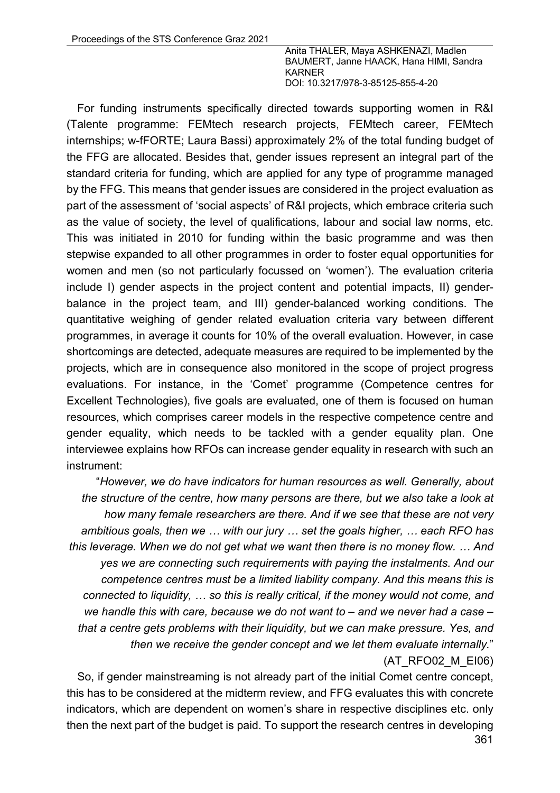For funding instruments specifically directed towards supporting women in R&I (Talente programme: FEMtech research projects, FEMtech career, FEMtech internships; w-fFORTE; Laura Bassi) approximately 2% of the total funding budget of the FFG are allocated. Besides that, gender issues represent an integral part of the standard criteria for funding, which are applied for any type of programme managed by the FFG. This means that gender issues are considered in the project evaluation as part of the assessment of 'social aspects' of R&I projects, which embrace criteria such as the value of society, the level of qualifications, labour and social law norms, etc. This was initiated in 2010 for funding within the basic programme and was then stepwise expanded to all other programmes in order to foster equal opportunities for women and men (so not particularly focussed on 'women'). The evaluation criteria include I) gender aspects in the project content and potential impacts, II) genderbalance in the project team, and III) gender-balanced working conditions. The quantitative weighing of gender related evaluation criteria vary between different programmes, in average it counts for 10% of the overall evaluation. However, in case shortcomings are detected, adequate measures are required to be implemented by the projects, which are in consequence also monitored in the scope of project progress evaluations. For instance, in the 'Comet' programme (Competence centres for Excellent Technologies), five goals are evaluated, one of them is focused on human resources, which comprises career models in the respective competence centre and gender equality, which needs to be tackled with a gender equality plan. One interviewee explains how RFOs can increase gender equality in research with such an instrument:

"*However, we do have indicators for human resources as well. Generally, about the structure of the centre, how many persons are there, but we also take a look at how many female researchers are there. And if we see that these are not very ambitious goals, then we … with our jury … set the goals higher, … each RFO has this leverage. When we do not get what we want then there is no money flow. … And yes we are connecting such requirements with paying the instalments. And our competence centres must be a limited liability company. And this means this is connected to liquidity, … so this is really critical, if the money would not come, and we handle this with care, because we do not want to – and we never had a case – that a centre gets problems with their liquidity, but we can make pressure. Yes, and then we receive the gender concept and we let them evaluate internally.*" (AT\_RFO02\_M\_EI06)

361 So, if gender mainstreaming is not already part of the initial Comet centre concept, this has to be considered at the midterm review, and FFG evaluates this with concrete indicators, which are dependent on women's share in respective disciplines etc. only then the next part of the budget is paid. To support the research centres in developing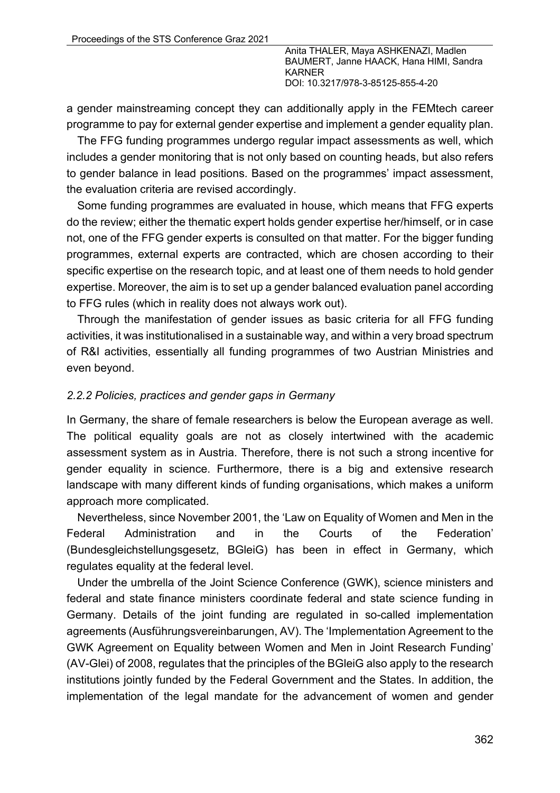a gender mainstreaming concept they can additionally apply in the FEMtech career programme to pay for external gender expertise and implement a gender equality plan.

The FFG funding programmes undergo regular impact assessments as well, which includes a gender monitoring that is not only based on counting heads, but also refers to gender balance in lead positions. Based on the programmes' impact assessment, the evaluation criteria are revised accordingly.

Some funding programmes are evaluated in house, which means that FFG experts do the review; either the thematic expert holds gender expertise her/himself, or in case not, one of the FFG gender experts is consulted on that matter. For the bigger funding programmes, external experts are contracted, which are chosen according to their specific expertise on the research topic, and at least one of them needs to hold gender expertise. Moreover, the aim is to set up a gender balanced evaluation panel according to FFG rules (which in reality does not always work out).

Through the manifestation of gender issues as basic criteria for all FFG funding activities, it was institutionalised in a sustainable way, and within a very broad spectrum of R&I activities, essentially all funding programmes of two Austrian Ministries and even beyond.

#### *2.2.2 Policies, practices and gender gaps in Germany*

In Germany, the share of female researchers is below the European average as well. The political equality goals are not as closely intertwined with the academic assessment system as in Austria. Therefore, there is not such a strong incentive for gender equality in science. Furthermore, there is a big and extensive research landscape with many different kinds of funding organisations, which makes a uniform approach more complicated.

Nevertheless, since November 2001, the 'Law on Equality of Women and Men in the Federal Administration and in the Courts of the Federation' (Bundesgleichstellungsgesetz, BGleiG) has been in effect in Germany, which regulates equality at the federal level.

Under the umbrella of the Joint Science Conference (GWK), science ministers and federal and state finance ministers coordinate federal and state science funding in Germany. Details of the joint funding are regulated in so-called implementation agreements (Ausführungsvereinbarungen, AV). The 'Implementation Agreement to the GWK Agreement on Equality between Women and Men in Joint Research Funding' (AV-Glei) of 2008, regulates that the principles of the BGleiG also apply to the research institutions jointly funded by the Federal Government and the States. In addition, the implementation of the legal mandate for the advancement of women and gender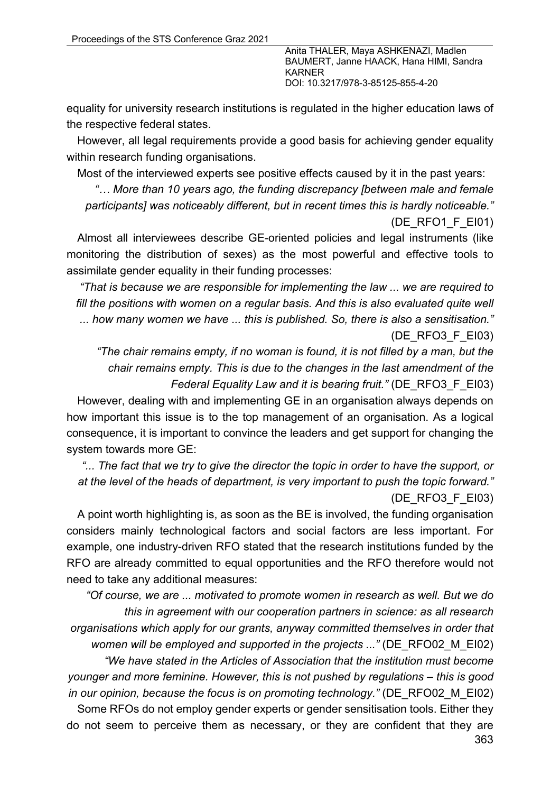equality for university research institutions is regulated in the higher education laws of the respective federal states.

However, all legal requirements provide a good basis for achieving gender equality within research funding organisations.

Most of the interviewed experts see positive effects caused by it in the past years:

*"… More than 10 years ago, the funding discrepancy [between male and female participants] was noticeably different, but in recent times this is hardly noticeable."* 

(DE\_RFO1\_F\_EI01)

Almost all interviewees describe GE-oriented policies and legal instruments (like monitoring the distribution of sexes) as the most powerful and effective tools to assimilate gender equality in their funding processes:

*"That is because we are responsible for implementing the law ... we are required to fill the positions with women on a regular basis. And this is also evaluated quite well ... how many women we have ... this is published. So, there is also a sensitisation."* (DE\_RFO3\_F\_EI03)

*"The chair remains empty, if no woman is found, it is not filled by a man, but the chair remains empty. This is due to the changes in the last amendment of the Federal Equality Law and it is bearing fruit."* (DE\_RFO3\_F\_EI03)

However, dealing with and implementing GE in an organisation always depends on how important this issue is to the top management of an organisation. As a logical consequence, it is important to convince the leaders and get support for changing the system towards more GE:

*"... The fact that we try to give the director the topic in order to have the support, or at the level of the heads of department, is very important to push the topic forward."* (DE\_RFO3\_F\_EI03)

A point worth highlighting is, as soon as the BE is involved, the funding organisation considers mainly technological factors and social factors are less important. For example, one industry-driven RFO stated that the research institutions funded by the RFO are already committed to equal opportunities and the RFO therefore would not need to take any additional measures:

*"Of course, we are ... motivated to promote women in research as well. But we do this in agreement with our cooperation partners in science: as all research organisations which apply for our grants, anyway committed themselves in order that women will be employed and supported in the projects ..."* (DE\_RFO02\_M\_EI02)

*"We have stated in the Articles of Association that the institution must become younger and more feminine. However, this is not pushed by regulations – this is good in our opinion, because the focus is on promoting technology.*" *(DE\_RFO02\_M\_EI02)* 

363 Some RFOs do not employ gender experts or gender sensitisation tools. Either they do not seem to perceive them as necessary, or they are confident that they are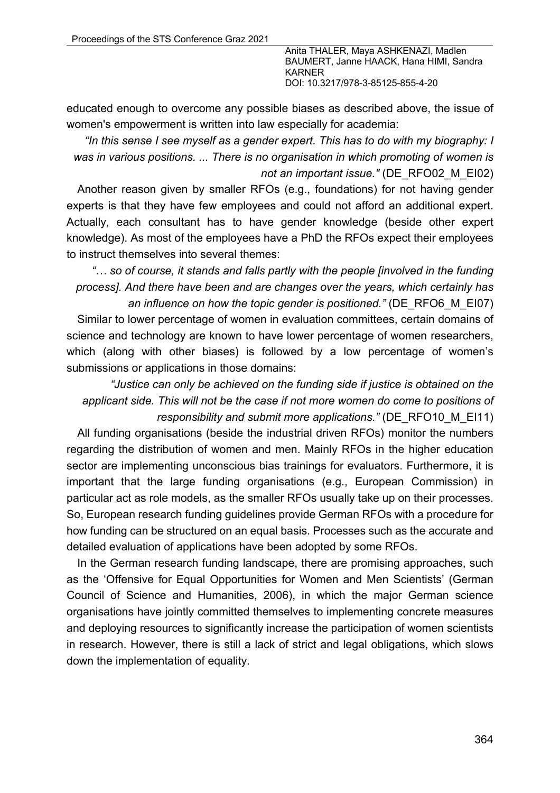educated enough to overcome any possible biases as described above, the issue of women's empowerment is written into law especially for academia:

*"In this sense I see myself as a gender expert. This has to do with my biography: I was in various positions. ... There is no organisation in which promoting of women is not an important issue."* (DE\_RFO02\_M\_EI02)

Another reason given by smaller RFOs (e.g., foundations) for not having gender experts is that they have few employees and could not afford an additional expert. Actually, each consultant has to have gender knowledge (beside other expert knowledge). As most of the employees have a PhD the RFOs expect their employees to instruct themselves into several themes:

*"… so of course, it stands and falls partly with the people [involved in the funding process]. And there have been and are changes over the years, which certainly has an influence on how the topic gender is positioned."* (DE\_RFO6\_M\_EI07)

Similar to lower percentage of women in evaluation committees, certain domains of science and technology are known to have lower percentage of women researchers, which (along with other biases) is followed by a low percentage of women's submissions or applications in those domains:

*"Justice can only be achieved on the funding side if justice is obtained on the applicant side. This will not be the case if not more women do come to positions of responsibility and submit more applications."* (DE\_RFO10\_M\_EI11)

All funding organisations (beside the industrial driven RFOs) monitor the numbers regarding the distribution of women and men. Mainly RFOs in the higher education sector are implementing unconscious bias trainings for evaluators. Furthermore, it is important that the large funding organisations (e.g., European Commission) in particular act as role models, as the smaller RFOs usually take up on their processes. So, European research funding guidelines provide German RFOs with a procedure for how funding can be structured on an equal basis. Processes such as the accurate and detailed evaluation of applications have been adopted by some RFOs.

In the German research funding landscape, there are promising approaches, such as the 'Offensive for Equal Opportunities for Women and Men Scientists' (German Council of Science and Humanities, 2006), in which the major German science organisations have jointly committed themselves to implementing concrete measures and deploying resources to significantly increase the participation of women scientists in research. However, there is still a lack of strict and legal obligations, which slows down the implementation of equality.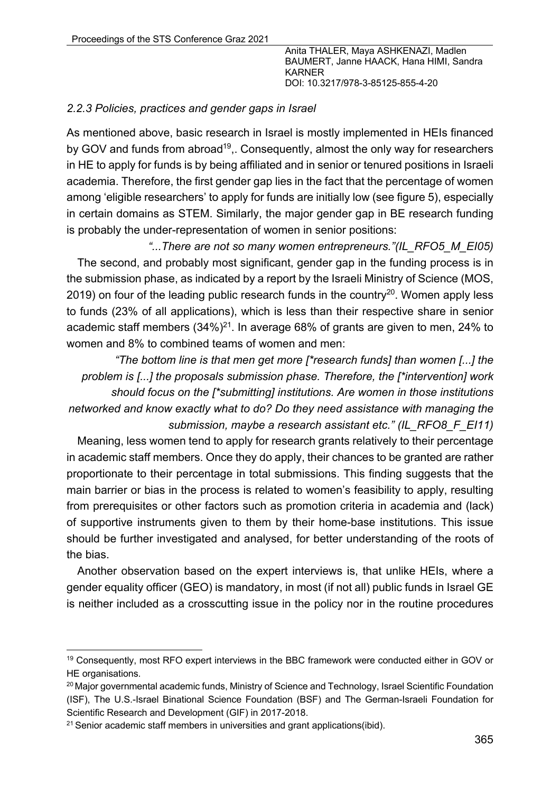### *2.2.3 Policies, practices and gender gaps in Israel*

As mentioned above, basic research in Israel is mostly implemented in HEIs financed by GOV and funds from abroad<sup>19</sup>,. Consequently, almost the only way for researchers in HE to apply for funds is by being affiliated and in senior or tenured positions in Israeli academia. Therefore, the first gender gap lies in the fact that the percentage of women among 'eligible researchers' to apply for funds are initially low (see figure 5), especially in certain domains as STEM. Similarly, the major gender gap in BE research funding is probably the under-representation of women in senior positions:

*"...There are not so many women entrepreneurs."(IL\_RFO5\_M\_EI05)* The second, and probably most significant, gender gap in the funding process is in the submission phase, as indicated by a report by the Israeli Ministry of Science (MOS, 2019) on four of the leading public research funds in the country<sup>20</sup>. Women apply less to funds (23% of all applications), which is less than their respective share in senior academic staff members  $(34\%)^{21}$ . In average 68% of grants are given to men, 24% to women and 8% to combined teams of women and men:

*"The bottom line is that men get more [\*research funds] than women [...] the problem is [...] the proposals submission phase. Therefore, the [\*intervention] work should focus on the [\*submitting] institutions. Are women in those institutions networked and know exactly what to do? Do they need assistance with managing the submission, maybe a research assistant etc." (IL\_RFO8\_F\_EI11)*

Meaning, less women tend to apply for research grants relatively to their percentage in academic staff members. Once they do apply, their chances to be granted are rather proportionate to their percentage in total submissions. This finding suggests that the main barrier or bias in the process is related to women's feasibility to apply, resulting from prerequisites or other factors such as promotion criteria in academia and (lack) of supportive instruments given to them by their home-base institutions. This issue should be further investigated and analysed, for better understanding of the roots of the bias.

Another observation based on the expert interviews is, that unlike HEIs, where a gender equality officer (GEO) is mandatory, in most (if not all) public funds in Israel GE is neither included as a crosscutting issue in the policy nor in the routine procedures

<sup>19</sup> Consequently, most RFO expert interviews in the BBC framework were conducted either in GOV or HE organisations.

<sup>&</sup>lt;sup>20</sup> Major governmental academic funds, Ministry of Science and Technology, Israel Scientific Foundation (ISF), The U.S.-Israel Binational Science Foundation (BSF) and The German-Israeli Foundation for Scientific Research and Development (GIF) in 2017-2018.

 $21$  Senior academic staff members in universities and grant applications(ibid).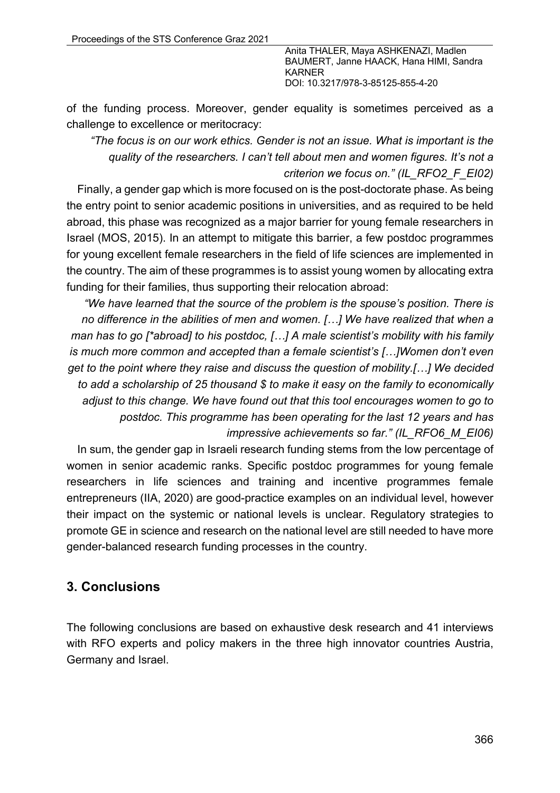of the funding process. Moreover, gender equality is sometimes perceived as a challenge to excellence or meritocracy:

*"The focus is on our work ethics. Gender is not an issue. What is important is the quality of the researchers. I can't tell about men and women figures. It's not a criterion we focus on." (IL\_RFO2\_F\_EI02)*

Finally, a gender gap which is more focused on is the post-doctorate phase. As being the entry point to senior academic positions in universities, and as required to be held abroad, this phase was recognized as a major barrier for young female researchers in Israel (MOS, 2015). In an attempt to mitigate this barrier, a few postdoc programmes for young excellent female researchers in the field of life sciences are implemented in the country. The aim of these programmes is to assist young women by allocating extra funding for their families, thus supporting their relocation abroad:

*"We have learned that the source of the problem is the spouse's position. There is no difference in the abilities of men and women. […] We have realized that when a man has to go [\*abroad] to his postdoc, […] A male scientist's mobility with his family is much more common and accepted than a female scientist's […]Women don't even get to the point where they raise and discuss the question of mobility.[…] We decided to add a scholarship of 25 thousand \$ to make it easy on the family to economically adjust to this change. We have found out that this tool encourages women to go to postdoc. This programme has been operating for the last 12 years and has impressive achievements so far." (IL\_RFO6\_M\_EI06)*

In sum, the gender gap in Israeli research funding stems from the low percentage of women in senior academic ranks. Specific postdoc programmes for young female researchers in life sciences and training and incentive programmes female entrepreneurs (IIA, 2020) are good-practice examples on an individual level, however their impact on the systemic or national levels is unclear. Regulatory strategies to promote GE in science and research on the national level are still needed to have more gender-balanced research funding processes in the country.

## **3. Conclusions**

The following conclusions are based on exhaustive desk research and 41 interviews with RFO experts and policy makers in the three high innovator countries Austria, Germany and Israel.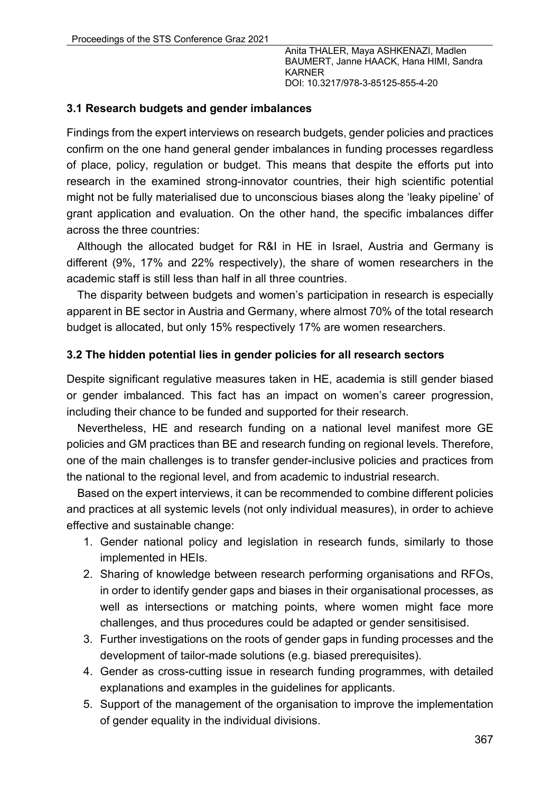#### **3.1 Research budgets and gender imbalances**

Findings from the expert interviews on research budgets, gender policies and practices confirm on the one hand general gender imbalances in funding processes regardless of place, policy, regulation or budget. This means that despite the efforts put into research in the examined strong-innovator countries, their high scientific potential might not be fully materialised due to unconscious biases along the 'leaky pipeline' of grant application and evaluation. On the other hand, the specific imbalances differ across the three countries:

Although the allocated budget for R&I in HE in Israel, Austria and Germany is different (9%, 17% and 22% respectively), the share of women researchers in the academic staff is still less than half in all three countries.

The disparity between budgets and women's participation in research is especially apparent in BE sector in Austria and Germany, where almost 70% of the total research budget is allocated, but only 15% respectively 17% are women researchers.

#### **3.2 The hidden potential lies in gender policies for all research sectors**

Despite significant regulative measures taken in HE, academia is still gender biased or gender imbalanced. This fact has an impact on women's career progression, including their chance to be funded and supported for their research.

Nevertheless, HE and research funding on a national level manifest more GE policies and GM practices than BE and research funding on regional levels. Therefore, one of the main challenges is to transfer gender-inclusive policies and practices from the national to the regional level, and from academic to industrial research.

Based on the expert interviews, it can be recommended to combine different policies and practices at all systemic levels (not only individual measures), in order to achieve effective and sustainable change:

- 1. Gender national policy and legislation in research funds, similarly to those implemented in HEIs.
- 2. Sharing of knowledge between research performing organisations and RFOs, in order to identify gender gaps and biases in their organisational processes, as well as intersections or matching points, where women might face more challenges, and thus procedures could be adapted or gender sensitisised.
- 3. Further investigations on the roots of gender gaps in funding processes and the development of tailor-made solutions (e.g. biased prerequisites).
- 4. Gender as cross-cutting issue in research funding programmes, with detailed explanations and examples in the guidelines for applicants.
- 5. Support of the management of the organisation to improve the implementation of gender equality in the individual divisions.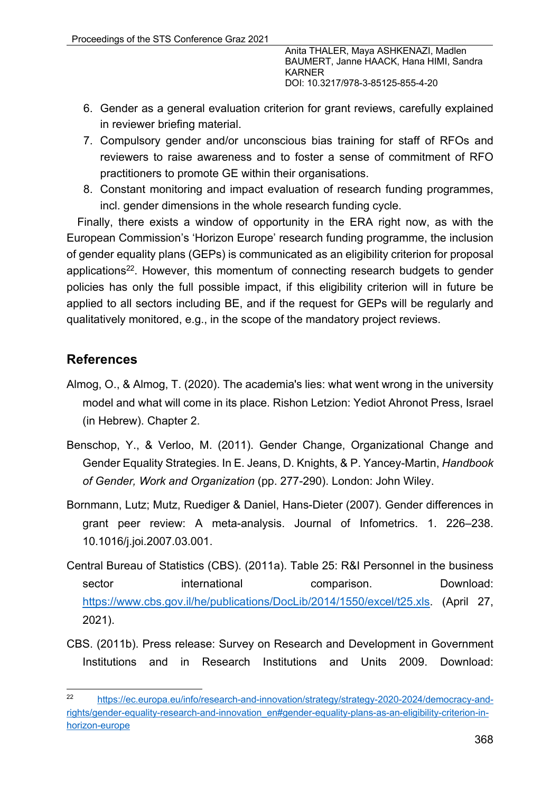- 6. Gender as a general evaluation criterion for grant reviews, carefully explained in reviewer briefing material.
- 7. Compulsory gender and/or unconscious bias training for staff of RFOs and reviewers to raise awareness and to foster a sense of commitment of RFO practitioners to promote GE within their organisations.
- 8. Constant monitoring and impact evaluation of research funding programmes, incl. gender dimensions in the whole research funding cycle.

Finally, there exists a window of opportunity in the ERA right now, as with the European Commission's 'Horizon Europe' research funding programme, the inclusion of gender equality plans (GEPs) is communicated as an eligibility criterion for proposal applications<sup>22</sup>. However, this momentum of connecting research budgets to gender policies has only the full possible impact, if this eligibility criterion will in future be applied to all sectors including BE, and if the request for GEPs will be regularly and qualitatively monitored, e.g., in the scope of the mandatory project reviews.

# **References**

- Almog, O., & Almog, T. (2020). The academia's lies: what went wrong in the university model and what will come in its place. Rishon Letzion: Yediot Ahronot Press, Israel (in Hebrew). Chapter 2.
- Benschop, Y., & Verloo, M. (2011). Gender Change, Organizational Change and Gender Equality Strategies. In E. Jeans, D. Knights, & P. Yancey-Martin, *Handbook of Gender, Work and Organization* (pp. 277-290). London: John Wiley.
- Bornmann, Lutz; Mutz, Ruediger & Daniel, Hans-Dieter (2007). Gender differences in grant peer review: A meta-analysis. Journal of Infometrics. 1. 226–238. 10.1016/j.joi.2007.03.001.
- Central Bureau of Statistics (CBS). (2011a). Table 25: R&I Personnel in the business sector international comparison. Download: https://www.cbs.gov.il/he/publications/DocLib/2014/1550/excel/t25.xls. (April 27, 2021).
- CBS. (2011b). Press release: Survey on Research and Development in Government Institutions and in Research Institutions and Units 2009. Download:

<sup>22</sup> https://ec.europa.eu/info/research-and-innovation/strategy/strategy-2020-2024/democracy-andrights/gender-equality-research-and-innovation\_en#gender-equality-plans-as-an-eligibility-criterion-inhorizon-europe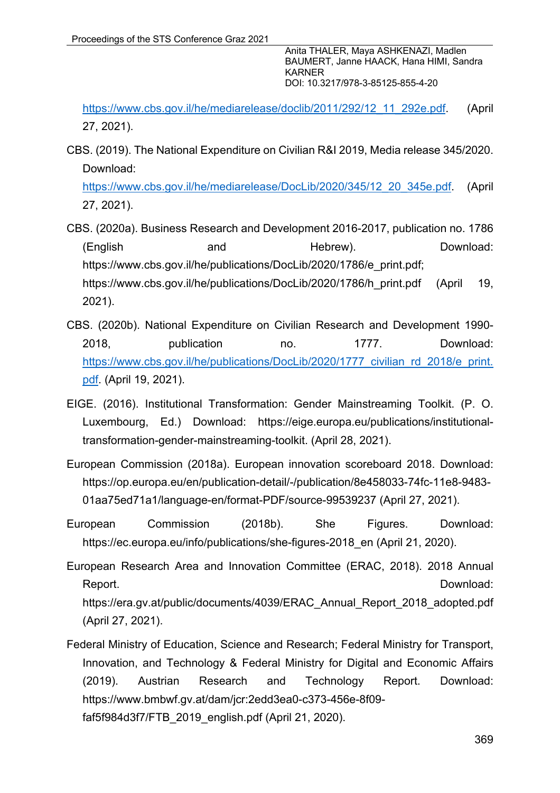https://www.cbs.gov.il/he/mediarelease/doclib/2011/292/12\_11\_292e.pdf. (April 27, 2021).

CBS. (2019). The National Expenditure on Civilian R&I 2019, Media release 345/2020. Download:

https://www.cbs.gov.il/he/mediarelease/DocLib/2020/345/12\_20\_345e.pdf. (April 27, 2021).

CBS. (2020a). Business Research and Development 2016-2017, publication no. 1786 (English and Hebrew). Download: https://www.cbs.gov.il/he/publications/DocLib/2020/1786/e\_print.pdf; https://www.cbs.gov.il/he/publications/DocLib/2020/1786/h\_print.pdf (April 19, 2021).

- CBS. (2020b). National Expenditure on Civilian Research and Development 1990- 2018, publication no. 1777. Download: https://www.cbs.gov.il/he/publications/DocLib/2020/1777\_civilian\_rd\_2018/e\_print. pdf. (April 19, 2021).
- EIGE. (2016). Institutional Transformation: Gender Mainstreaming Toolkit. (P. O. Luxembourg, Ed.) Download: https://eige.europa.eu/publications/institutionaltransformation-gender-mainstreaming-toolkit. (April 28, 2021).
- European Commission (2018a). European innovation scoreboard 2018. Download: https://op.europa.eu/en/publication-detail/-/publication/8e458033-74fc-11e8-9483- 01aa75ed71a1/language-en/format-PDF/source-99539237 (April 27, 2021).
- European Commission (2018b). She Figures. Download: https://ec.europa.eu/info/publications/she-figures-2018\_en (April 21, 2020).
- European Research Area and Innovation Committee (ERAC, 2018). 2018 Annual Report. Download: Network and the set of the set of the set of the set of the Download: https://era.gv.at/public/documents/4039/ERAC\_Annual\_Report\_2018\_adopted.pdf (April 27, 2021).
- Federal Ministry of Education, Science and Research; Federal Ministry for Transport, Innovation, and Technology & Federal Ministry for Digital and Economic Affairs (2019). Austrian Research and Technology Report. Download: https://www.bmbwf.gv.at/dam/jcr:2edd3ea0-c373-456e-8f09 faf5f984d3f7/FTB\_2019\_english.pdf (April 21, 2020).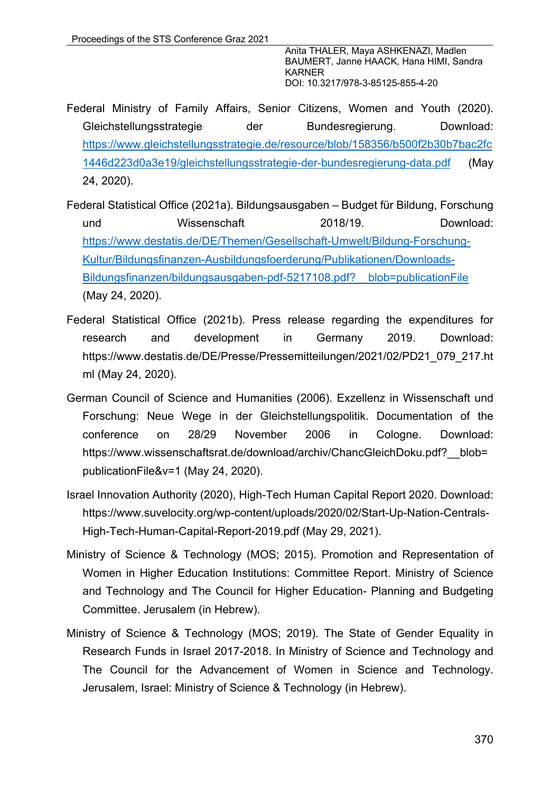- Federal Ministry of Family Affairs, Senior Citizens, Women and Youth (2020). Gleichstellungsstrategie der Bundesregierung. Download: https://www.gleichstellungsstrategie.de/resource/blob/158356/b500f2b30b7bac2fc 1446d223d0a3e19/gleichstellungsstrategie-der-bundesregierung-data.pdf (May 24, 2020).
- Federal Statistical Office (2021a). Bildungsausgaben Budget für Bildung, Forschung und Wissenschaft 2018/19. Download: https://www.destatis.de/DE/Themen/Gesellschaft-Umwelt/Bildung-Forschung-Kultur/Bildungsfinanzen-Ausbildungsfoerderung/Publikationen/Downloads-Bildungsfinanzen/bildungsausgaben-pdf-5217108.pdf?\_\_blob=publicationFile (May 24, 2020).
- Federal Statistical Office (2021b). Press release regarding the expenditures for research and development in Germany 2019. Download: https://www.destatis.de/DE/Presse/Pressemitteilungen/2021/02/PD21\_079\_217.ht ml (May 24, 2020).
- German Council of Science and Humanities (2006). Exzellenz in Wissenschaft und Forschung: Neue Wege in der Gleichstellungspolitik. Documentation of the conference on 28/29 November 2006 in Cologne. Download: https://www.wissenschaftsrat.de/download/archiv/ChancGleichDoku.pdf? blob= publicationFile&v=1 (May 24, 2020).
- Israel Innovation Authority (2020), High-Tech Human Capital Report 2020. Download: https://www.suvelocity.org/wp-content/uploads/2020/02/Start-Up-Nation-Centrals-High-Tech-Human-Capital-Report-2019.pdf (May 29, 2021).
- Ministry of Science & Technology (MOS; 2015). Promotion and Representation of Women in Higher Education Institutions: Committee Report. Ministry of Science and Technology and The Council for Higher Education- Planning and Budgeting Committee. Jerusalem (in Hebrew).
- Ministry of Science & Technology (MOS; 2019). The State of Gender Equality in Research Funds in Israel 2017-2018. In Ministry of Science and Technology and The Council for the Advancement of Women in Science and Technology. Jerusalem, Israel: Ministry of Science & Technology (in Hebrew).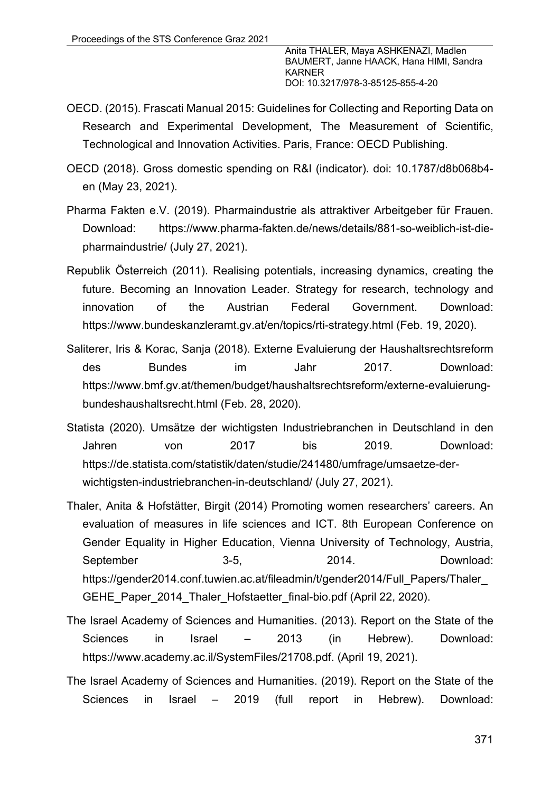- OECD. (2015). Frascati Manual 2015: Guidelines for Collecting and Reporting Data on Research and Experimental Development, The Measurement of Scientific, Technological and Innovation Activities. Paris, France: OECD Publishing.
- OECD (2018). Gross domestic spending on R&I (indicator). doi: 10.1787/d8b068b4 en (May 23, 2021).
- Pharma Fakten e.V. (2019). Pharmaindustrie als attraktiver Arbeitgeber für Frauen. Download: https://www.pharma-fakten.de/news/details/881-so-weiblich-ist-diepharmaindustrie/ (July 27, 2021).
- Republik Österreich (2011). Realising potentials, increasing dynamics, creating the future. Becoming an Innovation Leader. Strategy for research, technology and innovation of the Austrian Federal Government. Download: https://www.bundeskanzleramt.gv.at/en/topics/rti-strategy.html (Feb. 19, 2020).
- Saliterer, Iris & Korac, Sanja (2018). Externe Evaluierung der Haushaltsrechtsreform des Bundes im Jahr 2017. Download: https://www.bmf.gv.at/themen/budget/haushaltsrechtsreform/externe-evaluierungbundeshaushaltsrecht.html (Feb. 28, 2020).
- Statista (2020). Umsätze der wichtigsten Industriebranchen in Deutschland in den Jahren von 2017 bis 2019. Download: https://de.statista.com/statistik/daten/studie/241480/umfrage/umsaetze-derwichtigsten-industriebranchen-in-deutschland/ (July 27, 2021).
- Thaler, Anita & Hofstätter, Birgit (2014) Promoting women researchers' careers. An evaluation of measures in life sciences and ICT. 8th European Conference on Gender Equality in Higher Education, Vienna University of Technology, Austria, September 3-5, 2014. Download: https://gender2014.conf.tuwien.ac.at/fileadmin/t/gender2014/Full\_Papers/Thaler\_ GEHE\_Paper\_2014\_Thaler\_Hofstaetter\_final-bio.pdf (April 22, 2020).
- The Israel Academy of Sciences and Humanities. (2013). Report on the State of the Sciences in Israel – 2013 (in Hebrew). Download: https://www.academy.ac.il/SystemFiles/21708.pdf. (April 19, 2021).
- The Israel Academy of Sciences and Humanities. (2019). Report on the State of the Sciences in Israel – 2019 (full report in Hebrew). Download: